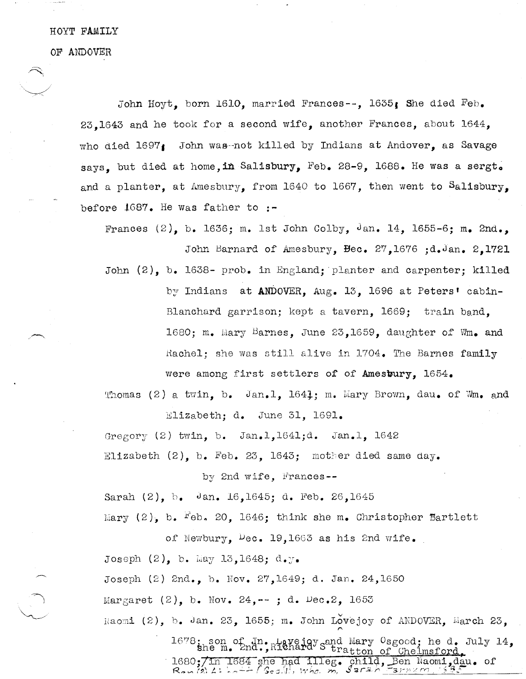## HOYT FAMILY

OF ANDOVER

.---,

John Hoyt, born 1610, married Frances--, 1635, She died Feb. 23,1643 and he took for a second wife, another Frances, about 1644, who died  $1697$ , John was-not killed by Indians at Andover, as Savage says. but died at home, in Salisbury, Feb. 28-9, 1688. He was a sergt. and a planter, at Amesbury, from 1640 to 1667, then went to Salisbury, before IG87. He Was father to **:-**

Frances  $(2)$ , b. 1636; m. 1st John Colby, Jan. 14, 1655-6; m. 2nd., John Barnard of Amesbury, Bec. 27,1676 ;d.Jan. 2,1721 John (2), b. 1638- prob. in England; planter and carpenter; killed by Indians at ANDOVER. Aug. 13. 1696 at Peters' cabin-Blanchard garrison; kept a tavern, 1669; train band, 1680; m. Mary Barnes, June 23,1659, daughter of Wm. and Rachel: she was still alive in 1704. The Barnes family were among first settlers of of Amesbury,  $1654$ .

Thomas (2) a twin, b. Jan.l. 1641: m. Mary Brown, dau. of Wm. and Elizabeth: d. June 31, 1691.

Gregory  $(2)$  twin, b. Jan.l.1641;d. Jan.l. 1642

Elizabeth  $(2)$ , b. Feb. 23, 1643; mother died same day.

by 2nd wife, Frances--

Sarah (2), h. Jan. 16,1645; d. Feb. 26,1645

Mary (2). b.  $F$ eb. 20. 1646; think she m. Christopher Bartlett

of Newbury,  $\log_{10} 19,1663$  as his 2nd wife. Joseph  $(2)$ , b. May 13,1648; d.y. Joseph (2) 2nd., b. Nov. 27,1649; d. Jan. 24,1650 Margaret (2), b. Nov. 24, --; d. Dec. 2, 1653 Naomi (2), b. Jan. 23, 1655; m. John Lovejoy of ANDOVER, March 23,

> 1678; son of In. Lavejay sand Mary Osgood; he d. July 14, she m. 2nd., Richard Stratton of Chelmsford. 1680;/in 1684 she had illeg. child, Ben Naomi,dau. of<br>Ren (2) 4: he + + (Seal), when m. Sarah Farnzm. : 53c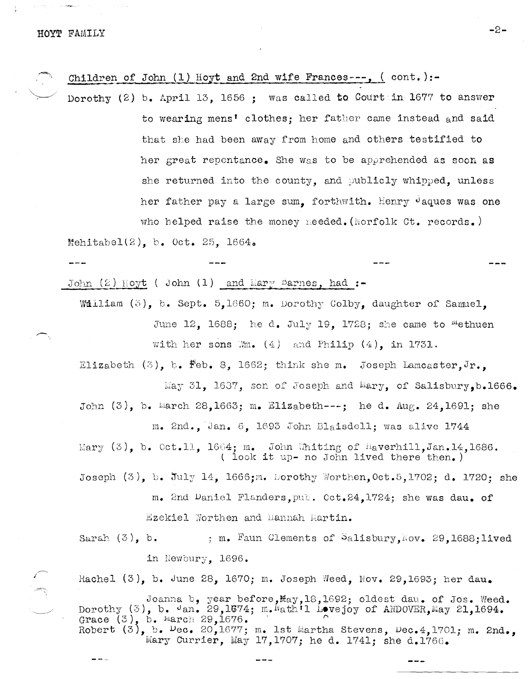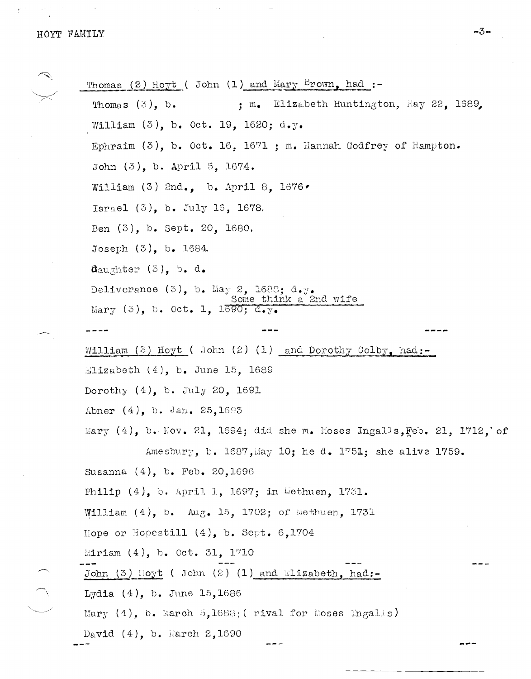March 1

 $\sim 10^{10}$  keV

 $\mathbb{Z}$ 

 $\begin{picture}(10,10) \put(0,0){\line(1,0){10}} \put(10,0){\line(1,0){10}} \put(10,0){\line(1,0){10}} \put(10,0){\line(1,0){10}} \put(10,0){\line(1,0){10}} \put(10,0){\line(1,0){10}} \put(10,0){\line(1,0){10}} \put(10,0){\line(1,0){10}} \put(10,0){\line(1,0){10}} \put(10,0){\line(1,0){10}} \put(10,0){\line(1,0){10}} \put(10,0){\line(1$ 

 $\frac{1}{\lambda}$ 

|                                              | Thomas (2) Hoyt ( John (1) and Mary Brown, had :-                          |
|----------------------------------------------|----------------------------------------------------------------------------|
| Thomas $(3)$ , b.                            | ; m. Elizabeth Huntington, May 22, 1689,                                   |
| William $(5)$ , b. Oct. 19, 1620; d.y.       |                                                                            |
|                                              | Ephraim $(3)$ , b. Oct. 16, 1671; m. Hannah Godfrey of Hampton.            |
| John $(3)$ , b. April 5, 1674.               |                                                                            |
| William (3) 2nd., b. April 8, $1676 \bullet$ |                                                                            |
| Israel $(3)$ , b. July 16, 1678.             |                                                                            |
| Ben (3), b. Sept. 20, 1680.                  |                                                                            |
| Joseph $(3)$ , b. 1684.                      |                                                                            |
| $\mathbf{a}$ aughter (3), b. d.              |                                                                            |
| Deliverance $(3)$ , b. May 2, 1688; d.y.     | Some think a 2nd wife                                                      |
| Mary $(3)$ , b. Oct. 1, 1690; d.y.           |                                                                            |
| ----                                         | ---                                                                        |
|                                              | William $(3)$ Hoyt (John $(2)$ (1) and Dorothy Colby, had:-                |
| Elizabeth $(4)$ , b. June 15, 1689           |                                                                            |
| Dorothy $(4)$ , b. July 20, 1691             |                                                                            |
| Abner (4), b. Jan. 25,1693                   |                                                                            |
|                                              | Mary $(4)$ , b. Nov. 21, 1694; did she m. Moses Ingalls, Feb. 21, 1712, of |
|                                              | Amesbury, b. 1687, May 10; he d. 1751; she alive 1759.                     |
| Susanna $(4)$ , b. Feb. 20, 1696             |                                                                            |
|                                              | Philip $(4)$ , b. April 1, 1697; in Methuen, 1731.                         |
|                                              | William $(4)$ , b. Aug. 15, 1702; of Methuen, 1731                         |
| Hope or Hopestill $(4)$ , b. Sept. 6,1704    |                                                                            |
| Miriam $(4)$ , b. Oct. 31, 1710              |                                                                            |
|                                              | John (3) Hoyt ( John (2) (1) and Elizabeth, had:-                          |
| Lydia $(4)$ , b. June 15,1686                |                                                                            |
|                                              | Mary $(4)$ , b. March 5,1688; (rival for Moses Ingalls)                    |
| David $(4)$ , b. March 2,1690                |                                                                            |
|                                              |                                                                            |

 $\overline{\phantom{a}}$ 

 $-3-$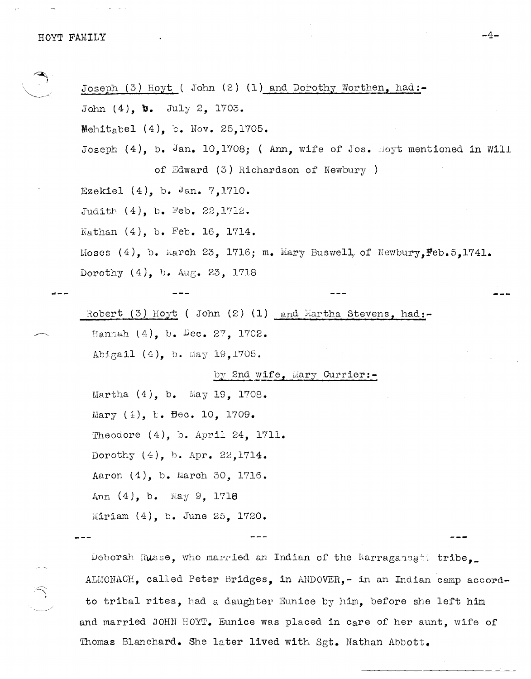**---**

.~. ,

Joseph (3) Hoyt ( John (2) (1) and Dorothy Worthen, had:- John (4), **b.** July 2, 1703. Mehitabel  $(4)$ , b. Nov. 25,1705. Joseph  $(4)$ , b. Jan. 10,1708; (Ann, wife of Jos. Hoyt mentioned in Will of Edward  $(3)$  Richardson of Newbury ) Ezekiel (4), b. Jan. 7,1710. Judith  $(4)$ , b. Feb. 22,1712. Kathan (4), b. Feb. 16, 1714. Moses  $(4)$ , b. March 23, 1716; m. Mary Buswell, of Newbury,  $\text{Feb.5,1741.}$ Dorothy (4), b. Aug. 23, 1718 Robert (3) Hoyt ( John (2) (1) and Martha Stevens, had:-Hannah (4), b. Dec. 27, 1702. Abigail (4), b. May 19,1705. by 2nd wife, Mary Currier:-Martha  $(4)$ , b. May 19, 1708. Mary (4), b. Bec. 10, 1709. Theodore (4), b. April 24, 1711. Dorothy (4), b. Apr. 22,1714. Aaron (4), b. March 30, 1716. Ann  $(4)$ , b. May 9, 1718 Miriam (4), b. June 25, 1720. Deborah Russe, who married an Indian of the Narragansett tribe,

ALMONACH, called Peter Bridges, in ANDOVER,- in an Indian camp accordto tribal rites, had a daughter Eunice by him, before she left him and married JOHN HOYT. Eunice was placed in care of her aunt, wife of Thomas Blanchard. She later lived with Sgt. Nathan Abbott.